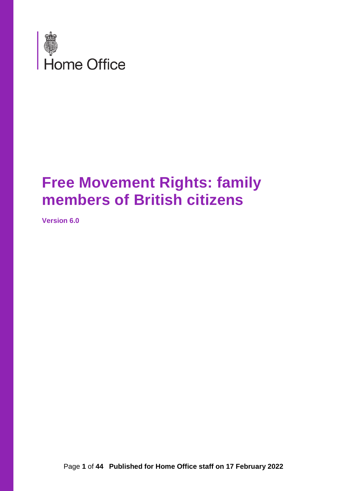

# **Free Movement Rights: family members of British citizens**

**Version 6.0**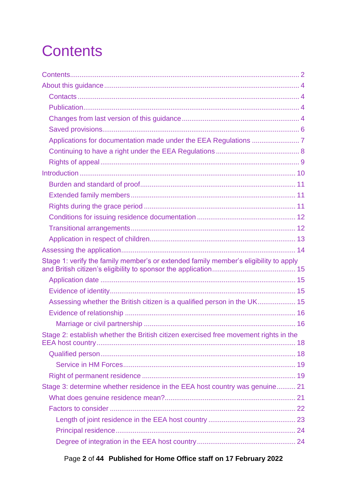# <span id="page-1-0"></span>**Contents**

| Stage 1: verify the family member's or extended family member's eligibility to apply |  |
|--------------------------------------------------------------------------------------|--|
|                                                                                      |  |
|                                                                                      |  |
| Assessing whether the British citizen is a qualified person in the UK 15             |  |
|                                                                                      |  |
|                                                                                      |  |
| Stage 2: establish whether the British citizen exercised free movement rights in the |  |
|                                                                                      |  |
|                                                                                      |  |
|                                                                                      |  |
|                                                                                      |  |
| Stage 3: determine whether residence in the EEA host country was genuine 21          |  |
|                                                                                      |  |
|                                                                                      |  |
|                                                                                      |  |
|                                                                                      |  |
|                                                                                      |  |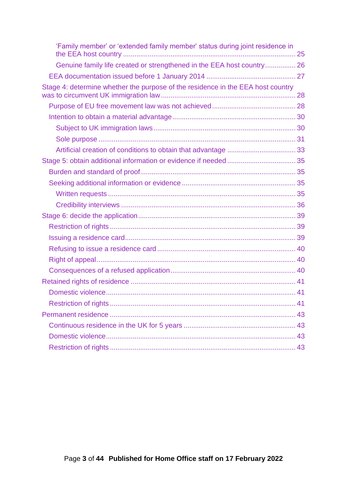| 'Family member' or 'extended family member' status during joint residence in    |  |
|---------------------------------------------------------------------------------|--|
| Genuine family life created or strengthened in the EEA host country 26          |  |
|                                                                                 |  |
| Stage 4: determine whether the purpose of the residence in the EEA host country |  |
|                                                                                 |  |
|                                                                                 |  |
|                                                                                 |  |
|                                                                                 |  |
|                                                                                 |  |
|                                                                                 |  |
|                                                                                 |  |
|                                                                                 |  |
|                                                                                 |  |
|                                                                                 |  |
|                                                                                 |  |
|                                                                                 |  |
|                                                                                 |  |
|                                                                                 |  |
|                                                                                 |  |
|                                                                                 |  |
|                                                                                 |  |
|                                                                                 |  |
|                                                                                 |  |
|                                                                                 |  |
|                                                                                 |  |
|                                                                                 |  |
|                                                                                 |  |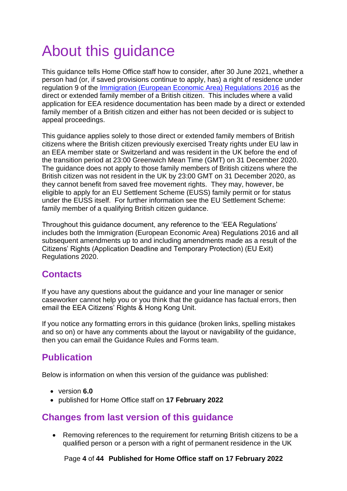# <span id="page-3-0"></span>About this guidance

This guidance tells Home Office staff how to consider, after 30 June 2021, whether a person had (or, if saved provisions continue to apply, has) a right of residence under regulation 9 of the [Immigration \(European Economic Area\) Regulations 2016](http://www.legislation.gov.uk/uksi/2016/1052/contents/made) as the direct or extended family member of a British citizen. This includes where a valid application for EEA residence documentation has been made by a direct or extended family member of a British citizen and either has not been decided or is subject to appeal proceedings.

This guidance applies solely to those direct or extended family members of British citizens where the British citizen previously exercised Treaty rights under EU law in an EEA member state or Switzerland and was resident in the UK before the end of the transition period at 23:00 Greenwich Mean Time (GMT) on 31 December 2020. The guidance does not apply to those family members of British citizens where the British citizen was not resident in the UK by 23:00 GMT on 31 December 2020, as they cannot benefit from saved free movement rights. They may, however, be eligible to apply for an EU Settlement Scheme (EUSS) family permit or for status under the EUSS itself. For further information see the EU Settlement Scheme: family member of a qualifying British citizen guidance.

Throughout this guidance document, any reference to the 'EEA Regulations' includes both the Immigration (European Economic Area) Regulations 2016 and all subsequent amendments up to and including amendments made as a result of the Citizens' Rights (Application Deadline and Temporary Protection) (EU Exit) Regulations 2020.

## <span id="page-3-1"></span>**Contacts**

If you have any questions about the guidance and your line manager or senior caseworker cannot help you or you think that the guidance has factual errors, then email the EEA Citizens' Rights & Hong Kong Unit.

If you notice any formatting errors in this guidance (broken links, spelling mistakes and so on) or have any comments about the layout or navigability of the guidance, then you can email the Guidance Rules and Forms team.

# <span id="page-3-2"></span>**Publication**

Below is information on when this version of the guidance was published:

- version **6.0**
- published for Home Office staff on **17 February 2022**

## <span id="page-3-3"></span>**Changes from last version of this guidance**

• Removing references to the requirement for returning British citizens to be a qualified person or a person with a right of permanent residence in the UK

Page **4** of **44 Published for Home Office staff on 17 February 2022**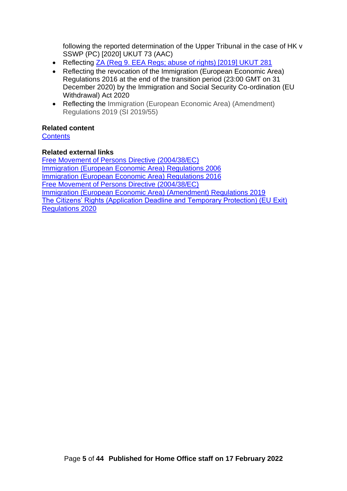following the reported determination of the Upper Tribunal in the case of HK v SSWP (PC) [2020] UKUT 73 (AAC)

- Reflecting [ZA \(Reg 9. EEA Regs; abuse of rights\) \[2019\] UKUT 281](https://tribunalsdecisions.service.gov.uk/utiac/2019-ukut-281)
- Reflecting the revocation of the Immigration (European Economic Area) Regulations 2016 at the end of the transition period (23:00 GMT on 31 December 2020) by the Immigration and Social Security Co-ordination (EU Withdrawal) Act 2020
- Reflecting the Immigration (European Economic Area) (Amendment) Regulations 2019 (SI 2019/55)

### **Related content**

**[Contents](#page-1-0)** 

#### **Related external links**

[Free Movement of Persons Directive \(2004/38/EC\)](http://eur-lex.europa.eu/LexUriServ/LexUriServ.do?uri=OJ:L:2004:158:0077:0123:EN:PDF) [Immigration \(European Economic Area\) Regulations 2006](http://www.legislation.gov.uk/uksi/2006/1003) [Immigration \(European Economic Area\) Regulations 2016](http://www.legislation.gov.uk/uksi/2016/1052/contents/made) [Free Movement of Persons Directive \(2004/38/EC\)](http://eur-lex.europa.eu/LexUriServ/LexUriServ.do?uri=OJ:L:2004:158:0077:0123:EN:PDF) [Immigration \(European Economic Area\) \(Amendment\) Regulations 2019](http://www.legislation.gov.uk/uksi/2019/1155/contents/made) [The Citizens' Rights \(Application Deadline and Temporary Protection\) \(EU Exit\)](https://www.legislation.gov.uk/ukdsi/2020/9780348212204/part/3?view=plain)  [Regulations 2020](https://www.legislation.gov.uk/ukdsi/2020/9780348212204/part/3?view=plain)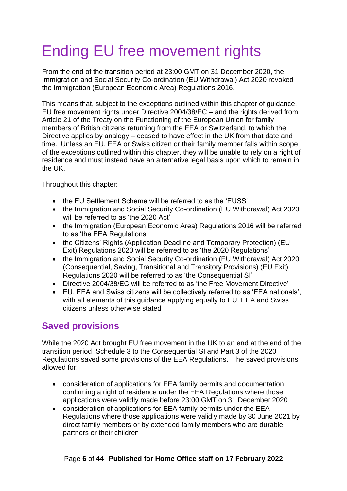# <span id="page-5-1"></span>Ending EU free movement rights

From the end of the transition period at 23:00 GMT on 31 December 2020, the Immigration and Social Security Co-ordination (EU Withdrawal) Act 2020 revoked the Immigration (European Economic Area) Regulations 2016.

This means that, subject to the exceptions outlined within this chapter of guidance, EU free movement rights under Directive 2004/38/EC – and the rights derived from Article 21 of the Treaty on the Functioning of the European Union for family members of British citizens returning from the EEA or Switzerland, to which the Directive applies by analogy – ceased to have effect in the UK from that date and time. Unless an EU, EEA or Swiss citizen or their family member falls within scope of the exceptions outlined within this chapter, they will be unable to rely on a right of residence and must instead have an alternative legal basis upon which to remain in the UK.

Throughout this chapter:

- the EU Settlement Scheme will be referred to as the 'EUSS'
- the Immigration and Social Security Co-ordination (EU Withdrawal) Act 2020 will be referred to as 'the 2020 Act'
- the Immigration (European Economic Area) Regulations 2016 will be referred to as 'the EEA Regulations'
- the Citizens' Rights (Application Deadline and Temporary Protection) (EU Exit) Regulations 2020 will be referred to as 'the 2020 Regulations'
- the Immigration and Social Security Co-ordination (EU Withdrawal) Act 2020 (Consequential, Saving, Transitional and Transitory Provisions) (EU Exit) Regulations 2020 will be referred to as 'the Consequential SI'
- Directive 2004/38/EC will be referred to as 'the Free Movement Directive'
- EU, EEA and Swiss citizens will be collectively referred to as 'EEA nationals', with all elements of this guidance applying equally to EU, EEA and Swiss citizens unless otherwise stated

# <span id="page-5-0"></span>**Saved provisions**

While the 2020 Act brought EU free movement in the UK to an end at the end of the transition period, Schedule 3 to the Consequential SI and Part 3 of the 2020 Regulations saved some provisions of the EEA Regulations. The saved provisions allowed for:

- consideration of applications for EEA family permits and documentation confirming a right of residence under the EEA Regulations where those applications were validly made before 23:00 GMT on 31 December 2020
- consideration of applications for EEA family permits under the EEA Regulations where those applications were validly made by 30 June 2021 by direct family members or by extended family members who are durable partners or their children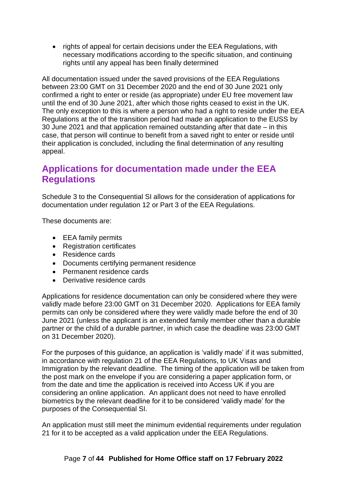• rights of appeal for certain decisions under the EEA Regulations, with necessary modifications according to the specific situation, and continuing rights until any appeal has been finally determined

All documentation issued under the saved provisions of the EEA Regulations between 23:00 GMT on 31 December 2020 and the end of 30 June 2021 only confirmed a right to enter or reside (as appropriate) under EU free movement law until the end of 30 June 2021, after which those rights ceased to exist in the UK. The only exception to this is where a person who had a right to reside under the EEA Regulations at the of the transition period had made an application to the EUSS by 30 June 2021 and that application remained outstanding after that date – in this case, that person will continue to benefit from a saved right to enter or reside until their application is concluded, including the final determination of any resulting appeal.

# <span id="page-6-0"></span>**Applications for documentation made under the EEA Regulations**

Schedule 3 to the Consequential SI allows for the consideration of applications for documentation under regulation 12 or Part 3 of the EEA Regulations.

These documents are:

- EEA family permits
- Registration certificates
- Residence cards
- Documents certifying permanent residence
- Permanent residence cards
- Derivative residence cards

Applications for residence documentation can only be considered where they were validly made before 23:00 GMT on 31 December 2020. Applications for EEA family permits can only be considered where they were validly made before the end of 30 June 2021 (unless the applicant is an extended family member other than a durable partner or the child of a durable partner, in which case the deadline was 23:00 GMT on 31 December 2020).

For the purposes of this guidance, an application is 'validly made' if it was submitted, in accordance with regulation 21 of the EEA Regulations, to UK Visas and Immigration by the relevant deadline. The timing of the application will be taken from the post mark on the envelope if you are considering a paper application form, or from the date and time the application is received into Access UK if you are considering an online application. An applicant does not need to have enrolled biometrics by the relevant deadline for it to be considered 'validly made' for the purposes of the Consequential SI.

An application must still meet the minimum evidential requirements under regulation 21 for it to be accepted as a valid application under the EEA Regulations.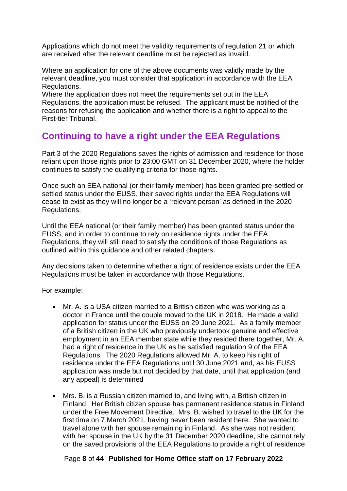Applications which do not meet the validity requirements of regulation 21 or which are received after the relevant deadline must be rejected as invalid.

Where an application for one of the above documents was validly made by the relevant deadline, you must consider that application in accordance with the EEA Regulations.

Where the application does not meet the requirements set out in the EEA Regulations, the application must be refused. The applicant must be notified of the reasons for refusing the application and whether there is a right to appeal to the First-tier Tribunal.

## <span id="page-7-0"></span>**Continuing to have a right under the EEA Regulations**

Part 3 of the 2020 Regulations saves the rights of admission and residence for those reliant upon those rights prior to 23:00 GMT on 31 December 2020, where the holder continues to satisfy the qualifying criteria for those rights.

Once such an EEA national (or their family member) has been granted pre-settled or settled status under the EUSS, their saved rights under the EEA Regulations will cease to exist as they will no longer be a 'relevant person' as defined in the 2020 Regulations.

Until the EEA national (or their family member) has been granted status under the EUSS, and in order to continue to rely on residence rights under the EEA Regulations, they will still need to satisfy the conditions of those Regulations as outlined within this guidance and other related chapters.

Any decisions taken to determine whether a right of residence exists under the EEA Regulations must be taken in accordance with those Regulations.

For example:

- Mr. A. is a USA citizen married to a British citizen who was working as a doctor in France until the couple moved to the UK in 2018. He made a valid application for status under the EUSS on 29 June 2021. As a family member of a British citizen in the UK who previously undertook genuine and effective employment in an EEA member state while they resided there together, Mr. A. had a right of residence in the UK as he satisfied regulation 9 of the EEA Regulations. The 2020 Regulations allowed Mr. A. to keep his right of residence under the EEA Regulations until 30 June 2021 and, as his EUSS application was made but not decided by that date, until that application (and any appeal) is determined
- Mrs. B. is a Russian citizen married to, and living with, a British citizen in Finland. Her British citizen spouse has permanent residence status in Finland under the Free Movement Directive. Mrs. B. wished to travel to the UK for the first time on 7 March 2021, having never been resident here. She wanted to travel alone with her spouse remaining in Finland. As she was not resident with her spouse in the UK by the 31 December 2020 deadline, she cannot rely on the saved provisions of the EEA Regulations to provide a right of residence

#### Page **8** of **44 Published for Home Office staff on 17 February 2022**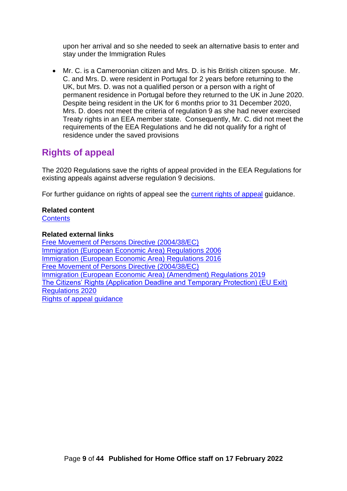upon her arrival and so she needed to seek an alternative basis to enter and stay under the Immigration Rules

• Mr. C. is a Cameroonian citizen and Mrs. D. is his British citizen spouse. Mr. C. and Mrs. D. were resident in Portugal for 2 years before returning to the UK, but Mrs. D. was not a qualified person or a person with a right of permanent residence in Portugal before they returned to the UK in June 2020. Despite being resident in the UK for 6 months prior to 31 December 2020, Mrs. D. does not meet the criteria of regulation 9 as she had never exercised Treaty rights in an EEA member state. Consequently, Mr. C. did not meet the requirements of the EEA Regulations and he did not qualify for a right of residence under the saved provisions

## <span id="page-8-0"></span>**Rights of appeal**

The 2020 Regulations save the rights of appeal provided in the EEA Regulations for existing appeals against adverse regulation 9 decisions.

For further guidance on rights of appeal see the [current rights of appeal](https://assets.publishing.service.gov.uk/government/uploads/system/uploads/attachment_data/file/1041393/rights-of-appeal.pdf) guidance.

#### **Related content**

**[Contents](#page-1-0)** 

#### **Related external links**

[Free Movement of Persons Directive \(2004/38/EC\)](http://eur-lex.europa.eu/LexUriServ/LexUriServ.do?uri=OJ:L:2004:158:0077:0123:EN:PDF) [Immigration \(European Economic Area\) Regulations 2006](http://www.legislation.gov.uk/uksi/2006/1003) [Immigration \(European Economic Area\) Regulations 2016](http://www.legislation.gov.uk/uksi/2016/1052/contents/made) [Free Movement of Persons Directive \(2004/38/EC\)](http://eur-lex.europa.eu/LexUriServ/LexUriServ.do?uri=OJ:L:2004:158:0077:0123:EN:PDF) [Immigration \(European Economic Area\) \(Amendment\) Regulations 2019](http://www.legislation.gov.uk/uksi/2019/1155/contents/made) [The Citizens' Rights \(Application Deadline and Temporary Protection\) \(EU Exit\)](https://www.legislation.gov.uk/ukdsi/2020/9780348212204/part/3?view=plain)  [Regulations 2020](https://www.legislation.gov.uk/ukdsi/2020/9780348212204/part/3?view=plain) [Rights of appeal guidance](https://assets.publishing.service.gov.uk/government/uploads/system/uploads/attachment_data/file/946780/rights-of-appeal-v10.pdf)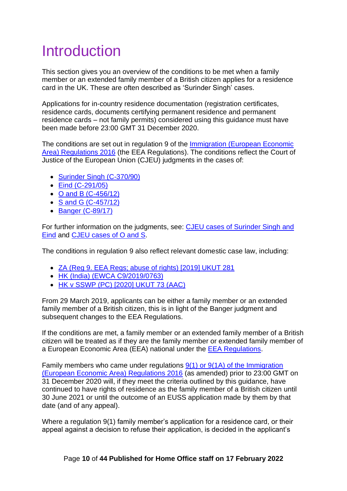# <span id="page-9-0"></span>Introduction

This section gives you an overview of the conditions to be met when a family member or an extended family member of a British citizen applies for a residence card in the UK. These are often described as 'Surinder Singh' cases.

Applications for in-country residence documentation (registration certificates, residence cards, documents certifying permanent residence and permanent residence cards – not family permits) considered using this guidance must have been made before 23:00 GMT 31 December 2020.

The conditions are set out in regulation 9 of the [Immigration \(European Economic](http://www.legislation.gov.uk/uksi/2016/1052/contents/made)  [Area\) Regulations 2016](http://www.legislation.gov.uk/uksi/2016/1052/contents/made) (the EEA Regulations). The conditions reflect the Court of Justice of the European Union (CJEU) judgments in the cases of:

- [Surinder Singh \(C-370/90\)](http://www.bailii.org/eu/cases/EUECJ/1992/C37090.html)
- [Eind \(C-291/05\)](http://www.bailii.org/eu/cases/EUECJ/2007/C29105.html)
- [O and B \(C-456/12\)](http://www.bailii.org/eu/cases/EUECJ/2014/C45612.html)
- [S and G \(C-457/12\)](http://www.bailii.org/eu/cases/EUECJ/2014/C45712.html)
- [Banger \(C-89/17\)](http://curia.europa.eu/juris/document/document.jsf;jsessionid=92438B6548AAA9A1FA73375E50F76883?text=&docid=203963&pageIndex=0&doclang=EN&mode=lst&dir=&occ=first&part=1&cid=5878034)

For further information on the judgments, see: CJEU [cases of Surinder Singh and](https://assets.publishing.service.gov.uk/government/uploads/system/uploads/attachment_data/file/603354/EEA-Case-Law-v4_0.pdf)  [Eind](https://assets.publishing.service.gov.uk/government/uploads/system/uploads/attachment_data/file/603354/EEA-Case-Law-v4_0.pdf) and CJEU [cases of O and S.](https://assets.publishing.service.gov.uk/government/uploads/system/uploads/attachment_data/file/603354/EEA-Case-Law-v4_0.pdf)

The conditions in regulation 9 also reflect relevant domestic case law, including:

- [ZA \(Reg 9. EEA Regs; abuse of rights\) \[2019\] UKUT 281](https://tribunalsdecisions.service.gov.uk/utiac/2019-ukut-281)
- [HK \(India\) \(EWCA C9/2019/0763\)](https://tribunalsdecisions.service.gov.uk/utiac/2017-ukut-14)
- [HK v SSWP \(PC\) \[2020\] UKUT 73 \(AAC\)](https://www.bailii.org/uk/cases/UKUT/AAC/2020/73.html)

From 29 March 2019, applicants can be either a family member or an extended family member of a British citizen, this is in light of the Banger judgment and subsequent changes to the EEA Regulations.

If the conditions are met, a family member or an extended family member of a British citizen will be treated as if they are the family member or extended family member of a European Economic Area (EEA) national under the [EEA Regulations.](http://www.legislation.gov.uk/uksi/2016/1052/contents/made)

Family members who came under regulations 9(1) or 9(1A) [of the Immigration](http://www.legislation.gov.uk/uksi/2016/1052/regulation/7/made)  [\(European Economic Area\) Regulations 2016](http://www.legislation.gov.uk/uksi/2016/1052/regulation/7/made) (as amended) prior to 23:00 GMT on 31 December 2020 will, if they meet the criteria outlined by this guidance, have continued to have rights of residence as the family member of a British citizen until 30 June 2021 or until the outcome of an EUSS application made by them by that date (and of any appeal).

Where a regulation 9(1) family member's application for a residence card, or their appeal against a decision to refuse their application, is decided in the applicant's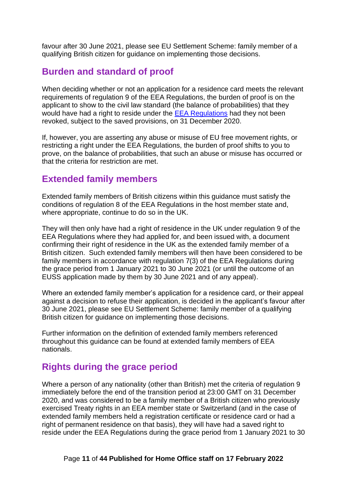favour after 30 June 2021, please see EU Settlement Scheme: family member of a qualifying British citizen for guidance on implementing those decisions.

## <span id="page-10-0"></span>**Burden and standard of proof**

When deciding whether or not an application for a residence card meets the relevant requirements of regulation 9 of the EEA Regulations, the burden of proof is on the applicant to show to the civil law standard (the balance of probabilities) that they would have had a right to reside under the [EEA Regulations](http://www.legislation.gov.uk/uksi/2016/1052/contents/made) had they not been revoked, subject to the saved provisions, on 31 December 2020.

If, however, you are asserting any abuse or misuse of EU free movement rights, or restricting a right under the EEA Regulations, the burden of proof shifts to you to prove, on the balance of probabilities, that such an abuse or misuse has occurred or that the criteria for restriction are met.

## <span id="page-10-1"></span>**Extended family members**

Extended family members of British citizens within this guidance must satisfy the conditions of regulation 8 of the EEA Regulations in the host member state and, where appropriate, continue to do so in the UK.

They will then only have had a right of residence in the UK under regulation 9 of the EEA Regulations where they had applied for, and been issued with, a document confirming their right of residence in the UK as the extended family member of a British citizen. Such extended family members will then have been considered to be family members in accordance with regulation 7(3) of the EEA Regulations during the grace period from 1 January 2021 to 30 June 2021 (or until the outcome of an EUSS application made by them by 30 June 2021 and of any appeal).

Where an extended family member's application for a residence card, or their appeal against a decision to refuse their application, is decided in the applicant's favour after 30 June 2021, please see EU Settlement Scheme: family member of a qualifying British citizen for guidance on implementing those decisions.

Further information on the definition of extended family members referenced throughout this guidance can be found at extended family members of EEA nationals.

## <span id="page-10-2"></span>**Rights during the grace period**

Where a person of any nationality (other than British) met the criteria of regulation 9 immediately before the end of the transition period at 23:00 GMT on 31 December 2020, and was considered to be a family member of a British citizen who previously exercised Treaty rights in an EEA member state or Switzerland (and in the case of extended family members held a registration certificate or residence card or had a right of permanent residence on that basis), they will have had a saved right to reside under the EEA Regulations during the grace period from 1 January 2021 to 30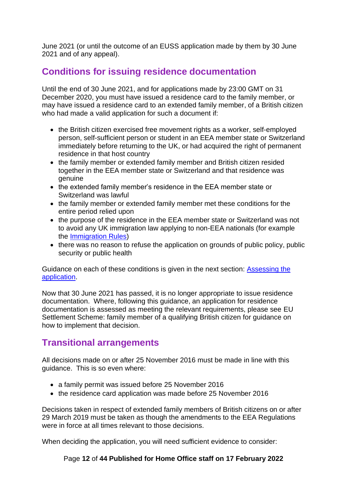June 2021 (or until the outcome of an EUSS application made by them by 30 June 2021 and of any appeal).

## <span id="page-11-0"></span>**Conditions for issuing residence documentation**

Until the end of 30 June 2021, and for applications made by 23:00 GMT on 31 December 2020, you must have issued a residence card to the family member, or may have issued a residence card to an extended family member, of a British citizen who had made a valid application for such a document if:

- the British citizen exercised free movement rights as a worker, self-employed person, self-sufficient person or student in an EEA member state or Switzerland immediately before returning to the UK, or had acquired the right of permanent residence in that host country
- the family member or extended family member and British citizen resided together in the EEA member state or Switzerland and that residence was genuine
- the extended family member's residence in the EEA member state or Switzerland was lawful
- the family member or extended family member met these conditions for the entire period relied upon
- the purpose of the residence in the EEA member state or Switzerland was not to avoid any UK immigration law applying to non-EEA nationals (for example the [Immigration Rules\)](https://www.gov.uk/guidance/immigration-rules)
- there was no reason to refuse the application on grounds of public policy, public security or public health

Guidance on each of these conditions is given in the next section: [Assessing the](#page-12-1)  [application.](#page-12-1)

Now that 30 June 2021 has passed, it is no longer appropriate to issue residence documentation. Where, following this guidance, an application for residence documentation is assessed as meeting the relevant requirements, please see EU Settlement Scheme: family member of a qualifying British citizen for guidance on how to implement that decision.

## <span id="page-11-1"></span>**Transitional arrangements**

All decisions made on or after 25 November 2016 must be made in line with this quidance. This is so even where:

- a family permit was issued before 25 November 2016
- the residence card application was made before 25 November 2016

Decisions taken in respect of extended family members of British citizens on or after 29 March 2019 must be taken as though the amendments to the EEA Regulations were in force at all times relevant to those decisions.

When deciding the application, you will need sufficient evidence to consider:

### Page **12** of **44 Published for Home Office staff on 17 February 2022**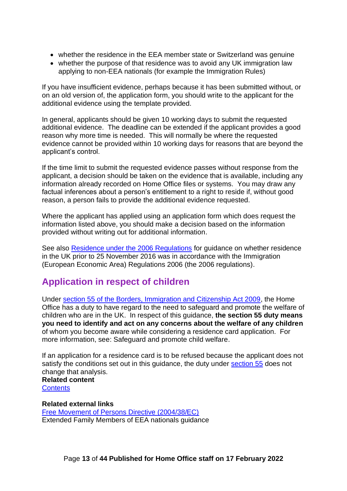- whether the residence in the EEA member state or Switzerland was genuine
- whether the purpose of that residence was to avoid any UK immigration law applying to non-EEA nationals (for example the Immigration Rules)

If you have insufficient evidence, perhaps because it has been submitted without, or on an old version of, the application form, you should write to the applicant for the additional evidence using the template provided.

In general, applicants should be given 10 working days to submit the requested additional evidence. The deadline can be extended if the applicant provides a good reason why more time is needed. This will normally be where the requested evidence cannot be provided within 10 working days for reasons that are beyond the applicant's control.

If the time limit to submit the requested evidence passes without response from the applicant, a decision should be taken on the evidence that is available, including any information already recorded on Home Office files or systems. You may draw any factual inferences about a person's entitlement to a right to reside if, without good reason, a person fails to provide the additional evidence requested.

Where the applicant has applied using an application form which does request the information listed above, you should make a decision based on the information provided without writing out for additional information.

See also [Residence under the 2006 Regulations](#page-43-0) for guidance on whether residence in the UK prior to 25 November 2016 was in accordance with the Immigration (European Economic Area) Regulations 2006 (the 2006 regulations).

# <span id="page-12-0"></span>**Application in respect of children**

Under [section 55 of the Borders, Immigration and Citizenship Act 2009,](http://www.legislation.gov.uk/ukpga/2009/11/section/55) the Home Office has a duty to have regard to the need to safeguard and promote the welfare of children who are in the UK. In respect of this guidance, **the section 55 duty means you need to identify and act on any concerns about the welfare of any children** of whom you become aware while considering a residence card application. For more information, see: Safeguard and promote child welfare.

If an application for a residence card is to be refused because the applicant does not satisfy the conditions set out in this guidance, the duty under [section 55](http://www.legislation.gov.uk/ukpga/2009/11/section/55) does not change that analysis.

**Related content [Contents](#page-1-0)** 

<span id="page-12-1"></span>**Related external links** [Free Movement of Persons Directive \(2004/38/EC\)](http://eur-lex.europa.eu/LexUriServ/LexUriServ.do?uri=OJ:L:2004:158:0077:0123:EN:PDF) Extended Family Members of EEA nationals guidance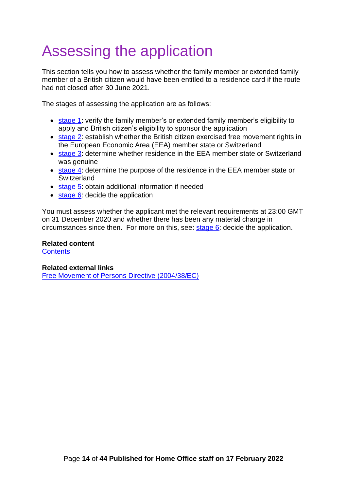# <span id="page-13-0"></span>Assessing the application

This section tells you how to assess whether the family member or extended family member of a British citizen would have been entitled to a residence card if the route had not closed after 30 June 2021.

The stages of assessing the application are as follows:

- [stage 1:](#page-14-0) verify the family member's or extended family member's eligibility to apply and British citizen's eligibility to sponsor the application
- [stage 2:](#page-16-0) establish whether the British citizen exercised free movement rights in the European Economic Area (EEA) member state or Switzerland
- [stage 3:](#page-20-0) determine whether residence in the EEA member state or Switzerland was genuine
- [stage 4:](#page-27-0) determine the purpose of the residence in the EEA member state or **Switzerland**
- [stage 5:](#page-34-0) obtain additional information if needed
- [stage 6:](#page-38-0) decide the application

You must assess whether the applicant met the relevant requirements at 23:00 GMT on 31 December 2020 and whether there has been any material change in circumstances since then. For more on this, see: [stage 6:](#page-38-0) decide the application.

#### **Related content**

**[Contents](#page-1-0)** 

#### **Related external links**

[Free Movement of Persons Directive \(2004/38/EC\)](http://eur-lex.europa.eu/LexUriServ/LexUriServ.do?uri=OJ:L:2004:158:0077:0123:EN:PDF)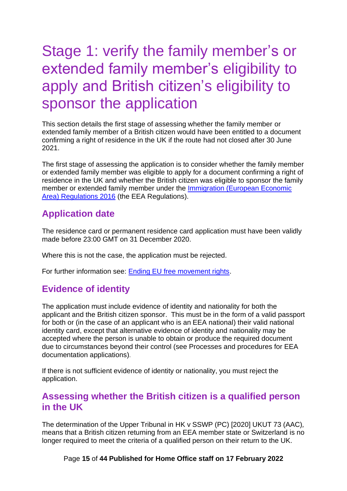# <span id="page-14-0"></span>Stage 1: verify the family member's or extended family member's eligibility to apply and British citizen's eligibility to sponsor the application

This section details the first stage of assessing whether the family member or extended family member of a British citizen would have been entitled to a document confirming a right of residence in the UK if the route had not closed after 30 June 2021.

The first stage of assessing the application is to consider whether the family member or extended family member was eligible to apply for a document confirming a right of residence in the UK and whether the British citizen was eligible to sponsor the family member or extended family member under the [Immigration \(European Economic](http://www.legislation.gov.uk/uksi/2016/1052/contents/made)  [Area\) Regulations 2016](http://www.legislation.gov.uk/uksi/2016/1052/contents/made) (the EEA Regulations).

## <span id="page-14-1"></span>**Application date**

The residence card or permanent residence card application must have been validly made before 23:00 GMT on 31 December 2020.

Where this is not the case, the application must be rejected.

For further information see: [Ending EU free movement rights.](#page-5-1)

## <span id="page-14-2"></span>**Evidence of identity**

The application must include evidence of identity and nationality for both the applicant and the British citizen sponsor. This must be in the form of a valid passport for both or (in the case of an applicant who is an EEA national) their valid national identity card, except that alternative evidence of identity and nationality may be accepted where the person is unable to obtain or produce the required document due to circumstances beyond their control (see Processes and procedures for EEA documentation applications).

If there is not sufficient evidence of identity or nationality, you must reject the application.

### <span id="page-14-3"></span>**Assessing whether the British citizen is a qualified person in the UK**

The determination of the Upper Tribunal in HK v SSWP (PC) [2020] UKUT 73 (AAC)*,*  means that a British citizen returning from an EEA member state or Switzerland is no longer required to meet the criteria of a qualified person on their return to the UK.

Page **15** of **44 Published for Home Office staff on 17 February 2022**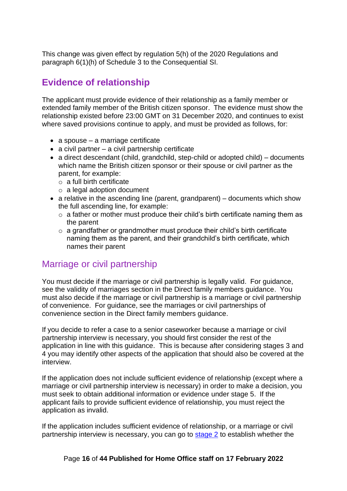This change was given effect by regulation 5(h) of the 2020 Regulations and paragraph 6(1)(h) of Schedule 3 to the Consequential SI.

# <span id="page-15-0"></span>**Evidence of relationship**

The applicant must provide evidence of their relationship as a family member or extended family member of the British citizen sponsor. The evidence must show the relationship existed before 23:00 GMT on 31 December 2020, and continues to exist where saved provisions continue to apply, and must be provided as follows, for:

- a spouse a marriage certificate
- a civil partner a civil partnership certificate
- a direct descendant (child, grandchild, step-child or adopted child) documents which name the British citizen sponsor or their spouse or civil partner as the parent, for example:
	- $\circ$  a full birth certificate
	- o a legal adoption document
- a relative in the ascending line (parent, grandparent) documents which show the full ascending line, for example:
	- o a father or mother must produce their child's birth certificate naming them as the parent
	- $\circ$  a grandfather or grandmother must produce their child's birth certificate naming them as the parent, and their grandchild's birth certificate, which names their parent

### <span id="page-15-1"></span>Marriage or civil partnership

You must decide if the marriage or civil partnership is legally valid. For guidance, see the validity of marriages section in the Direct family members guidance. You must also decide if the marriage or civil partnership is a marriage or civil partnership of convenience. For guidance, see the marriages or civil partnerships of convenience section in the Direct family members guidance.

If you decide to refer a case to a senior caseworker because a marriage or civil partnership interview is necessary, you should first consider the rest of the application in line with this guidance. This is because after considering stages 3 and 4 you may identify other aspects of the application that should also be covered at the interview.

If the application does not include sufficient evidence of relationship (except where a marriage or civil partnership interview is necessary) in order to make a decision, you must seek to obtain additional information or evidence under stage 5. If the applicant fails to provide sufficient evidence of relationship, you must reject the application as invalid.

If the application includes sufficient evidence of relationship, or a marriage or civil partnership interview is necessary, you can go to [stage 2](#page-16-0) to establish whether the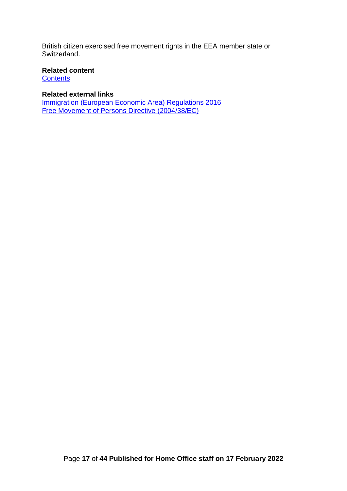British citizen exercised free movement rights in the EEA member state or Switzerland.

### **Related content**

**[Contents](#page-1-0)** 

#### **Related external links**

<span id="page-16-0"></span>[Immigration \(European Economic Area\) Regulations 2016](http://www.legislation.gov.uk/uksi/2016/1052/contents/made) [Free Movement of Persons Directive \(2004/38/EC\)](http://eur-lex.europa.eu/LexUriServ/LexUriServ.do?uri=OJ:L:2004:158:0077:0123:EN:PDF)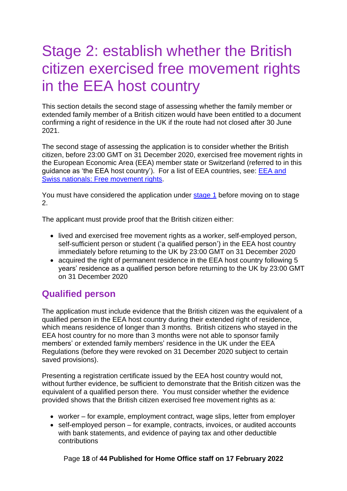# <span id="page-17-0"></span>Stage 2: establish whether the British citizen exercised free movement rights in the EEA host country

This section details the second stage of assessing whether the family member or extended family member of a British citizen would have been entitled to a document confirming a right of residence in the UK if the route had not closed after 30 June 2021.

The second stage of assessing the application is to consider whether the British citizen, before 23:00 GMT on 31 December 2020, exercised free movement rights in the European Economic Area (EEA) member state or Switzerland (referred to in this guidance as 'the EEA host country'). For a list of EEA countries, see: [EEA and](https://www.gov.uk/government/publications/eea-and-swiss-nationals-free-movement-rights)  [Swiss nationals: Free movement rights.](https://www.gov.uk/government/publications/eea-and-swiss-nationals-free-movement-rights)

You must have considered the application under [stage 1](#page-14-0) before moving on to stage 2.

The applicant must provide proof that the British citizen either:

- lived and exercised free movement rights as a worker, self-employed person, self-sufficient person or student ('a qualified person') in the EEA host country immediately before returning to the UK by 23:00 GMT on 31 December 2020
- acquired the right of permanent residence in the EEA host country following 5 years' residence as a qualified person before returning to the UK by 23:00 GMT on 31 December 2020

# <span id="page-17-1"></span>**Qualified person**

The application must include evidence that the British citizen was the equivalent of a qualified person in the EEA host country during their extended right of residence, which means residence of longer than 3 months. British citizens who stayed in the EEA host country for no more than 3 months were not able to sponsor family members' or extended family members' residence in the UK under the EEA Regulations (before they were revoked on 31 December 2020 subject to certain saved provisions).

Presenting a registration certificate issued by the EEA host country would not, without further evidence, be sufficient to demonstrate that the British citizen was the equivalent of a qualified person there. You must consider whether the evidence provided shows that the British citizen exercised free movement rights as a:

- worker for example, employment contract, wage slips, letter from employer
- self-employed person for example, contracts, invoices, or audited accounts with bank statements, and evidence of paying tax and other deductible contributions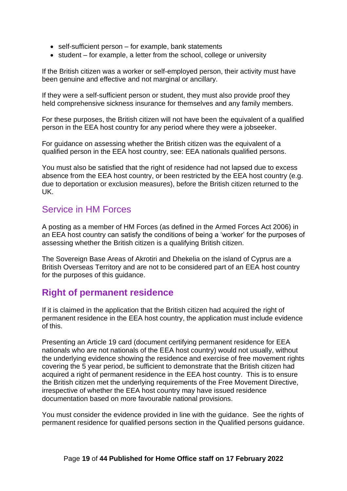- self-sufficient person for example, bank statements
- student for example, a letter from the school, college or university

If the British citizen was a worker or self-employed person, their activity must have been genuine and effective and not marginal or ancillary.

If they were a self-sufficient person or student, they must also provide proof they held comprehensive sickness insurance for themselves and any family members.

For these purposes, the British citizen will not have been the equivalent of a qualified person in the EEA host country for any period where they were a jobseeker.

For guidance on assessing whether the British citizen was the equivalent of a qualified person in the EEA host country, see: EEA nationals qualified persons.

You must also be satisfied that the right of residence had not lapsed due to excess absence from the EEA host country, or been restricted by the EEA host country (e.g. due to deportation or exclusion measures), before the British citizen returned to the UK.

## <span id="page-18-0"></span>Service in HM Forces

A posting as a member of HM Forces (as defined in the Armed Forces Act 2006) in an EEA host country can satisfy the conditions of being a 'worker' for the purposes of assessing whether the British citizen is a qualifying British citizen.

The Sovereign Base Areas of Akrotiri and Dhekelia on the island of Cyprus are a British Overseas Territory and are not to be considered part of an EEA host country for the purposes of this guidance.

## <span id="page-18-1"></span>**Right of permanent residence**

If it is claimed in the application that the British citizen had acquired the right of permanent residence in the EEA host country, the application must include evidence of this.

Presenting an Article 19 card (document certifying permanent residence for EEA nationals who are not nationals of the EEA host country) would not usually, without the underlying evidence showing the residence and exercise of free movement rights covering the 5 year period, be sufficient to demonstrate that the British citizen had acquired a right of permanent residence in the EEA host country. This is to ensure the British citizen met the underlying requirements of the Free Movement Directive, irrespective of whether the EEA host country may have issued residence documentation based on more favourable national provisions.

You must consider the evidence provided in line with the guidance. See the rights of permanent residence for qualified persons section in the Qualified persons guidance.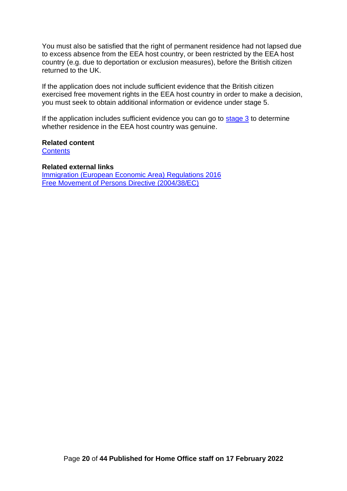You must also be satisfied that the right of permanent residence had not lapsed due to excess absence from the EEA host country, or been restricted by the EEA host country (e.g. due to deportation or exclusion measures), before the British citizen returned to the UK.

If the application does not include sufficient evidence that the British citizen exercised free movement rights in the EEA host country in order to make a decision, you must seek to obtain additional information or evidence under stage 5.

If the application includes sufficient evidence you can go to [stage 3](#page-19-0) to determine whether residence in the EEA host country was genuine.

**Related content**

**[Contents](#page-1-0)** 

#### **Related external links**

<span id="page-19-0"></span>[Immigration \(European Economic Area\) Regulations 2016](http://www.legislation.gov.uk/uksi/2016/1052/contents/made) [Free Movement of Persons Directive \(2004/38/EC\)](http://eur-lex.europa.eu/LexUriServ/LexUriServ.do?uri=OJ:L:2004:158:0077:0123:EN:PDF)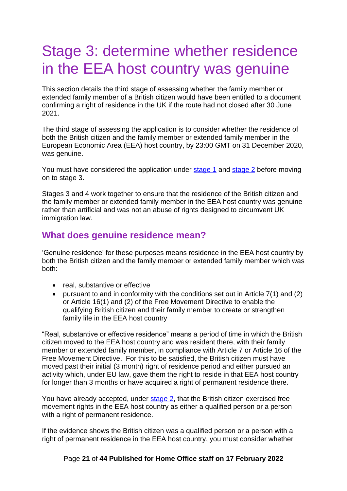# <span id="page-20-0"></span>Stage 3: determine whether residence in the EEA host country was genuine

This section details the third stage of assessing whether the family member or extended family member of a British citizen would have been entitled to a document confirming a right of residence in the UK if the route had not closed after 30 June 2021.

The third stage of assessing the application is to consider whether the residence of both the British citizen and the family member or extended family member in the European Economic Area (EEA) host country, by 23:00 GMT on 31 December 2020, was genuine.

You must have considered the application under [stage 1](#page-14-0) and [stage 2](#page-16-0) before moving on to stage 3.

Stages 3 and 4 work together to ensure that the residence of the British citizen and the family member or extended family member in the EEA host country was genuine rather than artificial and was not an abuse of rights designed to circumvent UK immigration law.

## <span id="page-20-1"></span>**What does genuine residence mean?**

'Genuine residence' for these purposes means residence in the EEA host country by both the British citizen and the family member or extended family member which was both:

- real, substantive or effective
- pursuant to and in conformity with the conditions set out in Article 7(1) and (2) or Article 16(1) and (2) of the Free Movement Directive to enable the qualifying British citizen and their family member to create or strengthen family life in the EEA host country

"Real, substantive or effective residence" means a period of time in which the British citizen moved to the EEA host country and was resident there, with their family member or extended family member, in compliance with Article 7 or Article 16 of the Free Movement Directive. For this to be satisfied, the British citizen must have moved past their initial (3 month) right of residence period and either pursued an activity which, under EU law, gave them the right to reside in that EEA host country for longer than 3 months or have acquired a right of permanent residence there.

You have already accepted, under [stage 2,](#page-16-0) that the British citizen exercised free movement rights in the EEA host country as either a qualified person or a person with a right of permanent residence.

If the evidence shows the British citizen was a qualified person or a person with a right of permanent residence in the EEA host country, you must consider whether

### Page **21** of **44 Published for Home Office staff on 17 February 2022**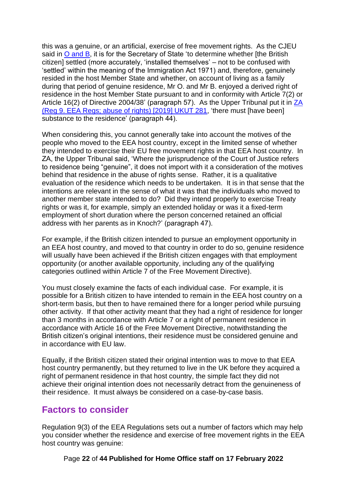this was a genuine, or an artificial, exercise of free movement rights. As the CJEU said in [O and B,](https://www.bailii.org/eu/cases/EUECJ/2014/C45612.html) it is for the Secretary of State 'to determine whether [the British citizen] settled (more accurately, 'installed themselves' – not to be confused with 'settled' within the meaning of the Immigration Act 1971) and, therefore, genuinely resided in the host Member State and whether, on account of living as a family during that period of genuine residence, Mr O. and Mr B. enjoyed a derived right of residence in the host Member State pursuant to and in conformity with Article 7(2) or Article 16(2) of Directive 2004/38' (paragraph 57). As the Upper Tribunal put it in [ZA](https://tribunalsdecisions.service.gov.uk/utiac/2019-ukut-281)  [\(Reg 9. EEA Regs; abuse of rights\) \[2019\] UKUT 281,](https://tribunalsdecisions.service.gov.uk/utiac/2019-ukut-281) 'there must [have been] substance to the residence' (paragraph 44).

When considering this, you cannot generally take into account the motives of the people who moved to the EEA host country, except in the limited sense of whether they intended to exercise their EU free movement rights in that EEA host country. In ZA, the Upper Tribunal said, 'Where the jurisprudence of the Court of Justice refers to residence being "genuine", it does not import with it a consideration of the motives behind that residence in the abuse of rights sense. Rather, it is a qualitative evaluation of the residence which needs to be undertaken. It is in that sense that the intentions are relevant in the sense of what it was that the individuals who moved to another member state intended to do? Did they intend properly to exercise Treaty rights or was it, for example, simply an extended holiday or was it a fixed-term employment of short duration where the person concerned retained an official address with her parents as in Knoch?' (paragraph 47).

For example, if the British citizen intended to pursue an employment opportunity in an EEA host country, and moved to that country in order to do so, genuine residence will usually have been achieved if the British citizen engages with that employment opportunity (or another available opportunity, including any of the qualifying categories outlined within Article 7 of the Free Movement Directive).

You must closely examine the facts of each individual case. For example, it is possible for a British citizen to have intended to remain in the EEA host country on a short-term basis, but then to have remained there for a longer period while pursuing other activity. If that other activity meant that they had a right of residence for longer than 3 months in accordance with Article 7 or a right of permanent residence in accordance with Article 16 of the Free Movement Directive, notwithstanding the British citizen's original intentions, their residence must be considered genuine and in accordance with EU law.

Equally, if the British citizen stated their original intention was to move to that EEA host country permanently, but they returned to live in the UK before they acquired a right of permanent residence in that host country, the simple fact they did not achieve their original intention does not necessarily detract from the genuineness of their residence. It must always be considered on a case-by-case basis.

## <span id="page-21-0"></span>**Factors to consider**

Regulation 9(3) of the EEA Regulations sets out a number of factors which may help you consider whether the residence and exercise of free movement rights in the EEA host country was genuine:

#### Page **22** of **44 Published for Home Office staff on 17 February 2022**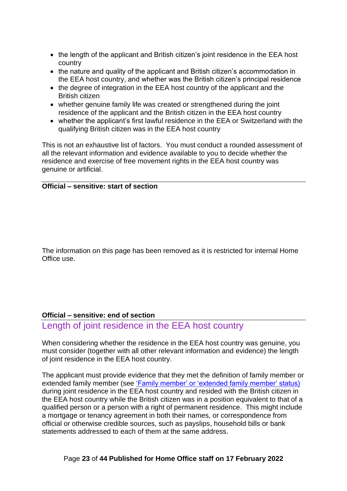- the length of the applicant and British citizen's joint residence in the EEA host country
- the nature and quality of the applicant and British citizen's accommodation in the EEA host country, and whether was the British citizen's principal residence
- the degree of integration in the EEA host country of the applicant and the British citizen
- whether genuine family life was created or strengthened during the joint residence of the applicant and the British citizen in the EEA host country
- whether the applicant's first lawful residence in the EEA or Switzerland with the qualifying British citizen was in the EEA host country

This is not an exhaustive list of factors. You must conduct a rounded assessment of all the relevant information and evidence available to you to decide whether the residence and exercise of free movement rights in the EEA host country was genuine or artificial.

#### **Official – sensitive: start of section**

The information on this page has been removed as it is restricted for internal Home Office use.

#### **Official – sensitive: end of section**

## <span id="page-22-0"></span>Length of joint residence in the EEA host country

When considering whether the residence in the EEA host country was genuine, you must consider (together with all other relevant information and evidence) the length of joint residence in the EEA host country.

The applicant must provide evidence that they met the definition of family member or extended family member (see ['Family member' or 'extended family member' status\)](#page-24-0) during joint residence in the EEA host country and resided with the British citizen in the EEA host country while the British citizen was in a position equivalent to that of a qualified person or a person with a right of permanent residence. This might include a mortgage or tenancy agreement in both their names, or correspondence from official or otherwise credible sources, such as payslips, household bills or bank statements addressed to each of them at the same address.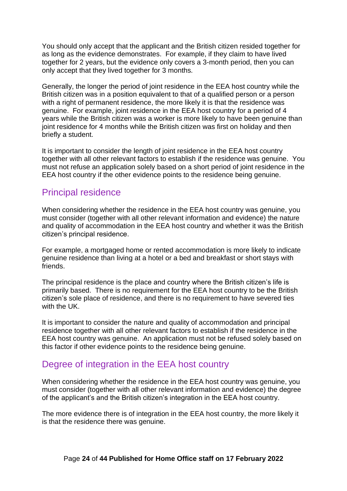You should only accept that the applicant and the British citizen resided together for as long as the evidence demonstrates. For example, if they claim to have lived together for 2 years, but the evidence only covers a 3-month period, then you can only accept that they lived together for 3 months.

Generally, the longer the period of joint residence in the EEA host country while the British citizen was in a position equivalent to that of a qualified person or a person with a right of permanent residence, the more likely it is that the residence was genuine. For example, joint residence in the EEA host country for a period of 4 years while the British citizen was a worker is more likely to have been genuine than joint residence for 4 months while the British citizen was first on holiday and then briefly a student.

It is important to consider the length of joint residence in the EEA host country together with all other relevant factors to establish if the residence was genuine. You must not refuse an application solely based on a short period of joint residence in the EEA host country if the other evidence points to the residence being genuine.

### <span id="page-23-0"></span>Principal residence

When considering whether the residence in the EEA host country was genuine, you must consider (together with all other relevant information and evidence) the nature and quality of accommodation in the EEA host country and whether it was the British citizen's principal residence.

For example, a mortgaged home or rented accommodation is more likely to indicate genuine residence than living at a hotel or a bed and breakfast or short stays with friends.

The principal residence is the place and country where the British citizen's life is primarily based. There is no requirement for the EEA host country to be the British citizen's sole place of residence, and there is no requirement to have severed ties with the UK.

It is important to consider the nature and quality of accommodation and principal residence together with all other relevant factors to establish if the residence in the EEA host country was genuine. An application must not be refused solely based on this factor if other evidence points to the residence being genuine.

## <span id="page-23-1"></span>Degree of integration in the EEA host country

When considering whether the residence in the EEA host country was genuine, you must consider (together with all other relevant information and evidence) the degree of the applicant's and the British citizen's integration in the EEA host country.

The more evidence there is of integration in the EEA host country, the more likely it is that the residence there was genuine.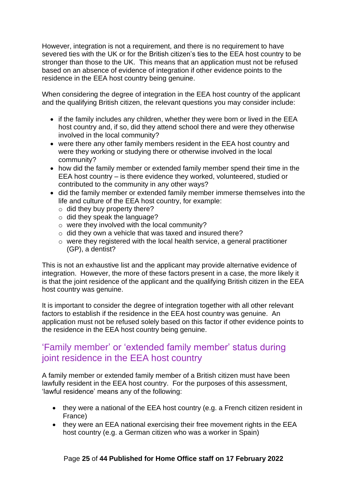However, integration is not a requirement, and there is no requirement to have severed ties with the UK or for the British citizen's ties to the EEA host country to be stronger than those to the UK. This means that an application must not be refused based on an absence of evidence of integration if other evidence points to the residence in the EEA host country being genuine.

When considering the degree of integration in the EEA host country of the applicant and the qualifying British citizen, the relevant questions you may consider include:

- if the family includes any children, whether they were born or lived in the EEA host country and, if so, did they attend school there and were they otherwise involved in the local community?
- were there any other family members resident in the EEA host country and were they working or studying there or otherwise involved in the local community?
- how did the family member or extended family member spend their time in the EEA host country – is there evidence they worked, volunteered, studied or contributed to the community in any other ways?
- did the family member or extended family member immerse themselves into the life and culture of the EEA host country, for example:
	- $\circ$  did they buy property there?
	- o did they speak the language?
	- o were they involved with the local community?
	- o did they own a vehicle that was taxed and insured there?
	- o were they registered with the local health service, a general practitioner (GP), a dentist?

This is not an exhaustive list and the applicant may provide alternative evidence of integration. However, the more of these factors present in a case, the more likely it is that the joint residence of the applicant and the qualifying British citizen in the EEA host country was genuine.

It is important to consider the degree of integration together with all other relevant factors to establish if the residence in the EEA host country was genuine. An application must not be refused solely based on this factor if other evidence points to the residence in the EEA host country being genuine.

## <span id="page-24-0"></span>'Family member' or 'extended family member' status during joint residence in the EEA host country

A family member or extended family member of a British citizen must have been lawfully resident in the EEA host country. For the purposes of this assessment, 'lawful residence' means any of the following:

- they were a national of the EEA host country (e.g. a French citizen resident in France)
- they were an EEA national exercising their free movement rights in the EEA host country (e.g. a German citizen who was a worker in Spain)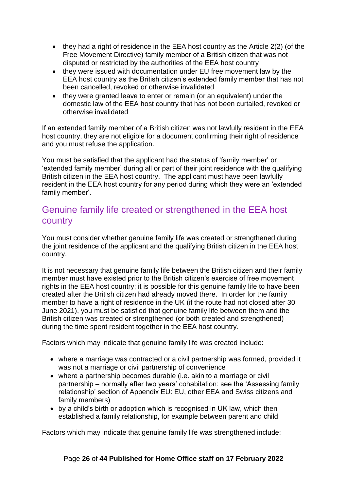- they had a right of residence in the EEA host country as the Article 2(2) (of the Free Movement Directive) family member of a British citizen that was not disputed or restricted by the authorities of the EEA host country
- they were issued with documentation under EU free movement law by the EEA host country as the British citizen's extended family member that has not been cancelled, revoked or otherwise invalidated
- they were granted leave to enter or remain (or an equivalent) under the domestic law of the EEA host country that has not been curtailed, revoked or otherwise invalidated

If an extended family member of a British citizen was not lawfully resident in the EEA host country, they are not eligible for a document confirming their right of residence and you must refuse the application.

You must be satisfied that the applicant had the status of 'family member' or 'extended family member' during all or part of their joint residence with the qualifying British citizen in the EEA host country. The applicant must have been lawfully resident in the EEA host country for any period during which they were an 'extended family member'.

## <span id="page-25-0"></span>Genuine family life created or strengthened in the EEA host country

You must consider whether genuine family life was created or strengthened during the joint residence of the applicant and the qualifying British citizen in the EEA host country.

It is not necessary that genuine family life between the British citizen and their family member must have existed prior to the British citizen's exercise of free movement rights in the EEA host country; it is possible for this genuine family life to have been created after the British citizen had already moved there. In order for the family member to have a right of residence in the UK (if the route had not closed after 30 June 2021), you must be satisfied that genuine family life between them and the British citizen was created or strengthened (or both created and strengthened) during the time spent resident together in the EEA host country.

Factors which may indicate that genuine family life was created include:

- where a marriage was contracted or a civil partnership was formed, provided it was not a marriage or civil partnership of convenience
- where a partnership becomes durable (i.e. akin to a marriage or civil partnership – normally after two years' cohabitation: see the 'Assessing family relationship' section of [Appendix EU: EU, other EEA and Swiss citizens and](https://www.gov.uk/guidance/immigration-rules/immigration-rules-appendix-eu)  [family members\)](https://www.gov.uk/guidance/immigration-rules/immigration-rules-appendix-eu)
- by a child's birth or adoption which is recognised in UK law, which then established a family relationship, for example between parent and child

Factors which may indicate that genuine family life was strengthened include: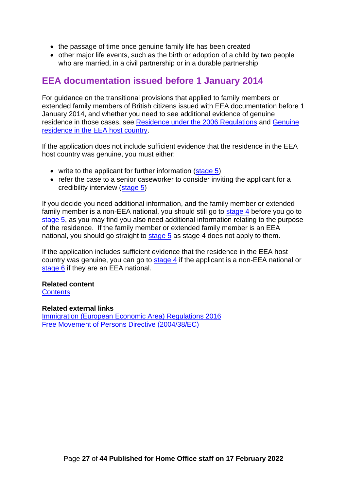- the passage of time once genuine family life has been created
- other major life events, such as the birth or adoption of a child by two people who are married, in a civil partnership or in a durable partnership

### <span id="page-26-0"></span>**EEA documentation issued before 1 January 2014**

For guidance on the transitional provisions that applied to family members or extended family members of British citizens issued with EEA documentation before 1 January 2014, and whether you need to see additional evidence of genuine residence in those cases, see [Residence under the 2006 Regulations](#page-43-0) and [Genuine](#page-43-0)  [residence in the EEA host country.](#page-43-0)

If the application does not include sufficient evidence that the residence in the EEA host country was genuine, you must either:

- write to the applicant for further information [\(stage 5\)](#page-33-0)
- refer the case to a senior caseworker to consider inviting the applicant for a credibility interview [\(stage 5\)](#page-33-0)

If you decide you need additional information, and the family member or extended family member is a non-EEA national, you should still go to [stage 4](#page-27-0) before you go to [stage 5,](#page-33-0) as you may find you also need additional information relating to the purpose of the residence. If the family member or extended family member is an EEA national, you should go straight to [stage 5](#page-33-0) as stage 4 does not apply to them.

If the application includes sufficient evidence that the residence in the EEA host country was genuine, you can go to  $\frac{\text{stage } 4}{\text{if the application}}$  is a non-EEA national or [stage 6](#page-37-0) if they are an EEA national.

#### **Related content**

**[Contents](#page-1-0)** 

#### **Related external links**

[Immigration \(European Economic Area\) Regulations 2016](http://www.legislation.gov.uk/uksi/2016/1052/contents/made) [Free Movement of Persons Directive \(2004/38/EC\)](http://eur-lex.europa.eu/LexUriServ/LexUriServ.do?uri=OJ:L:2004:158:0077:0123:EN:PDF)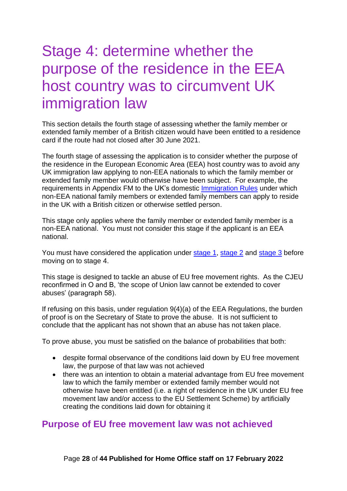# <span id="page-27-0"></span>Stage 4: determine whether the purpose of the residence in the EEA host country was to circumvent UK immigration law

This section details the fourth stage of assessing whether the family member or extended family member of a British citizen would have been entitled to a residence card if the route had not closed after 30 June 2021.

The fourth stage of assessing the application is to consider whether the purpose of the residence in the European Economic Area (EEA) host country was to avoid any UK immigration law applying to non-EEA nationals to which the family member or extended family member would otherwise have been subject. For example, the requirements in Appendix FM to the UK's domestic [Immigration Rules](https://www.gov.uk/guidance/immigration-rules) under which non-EEA national family members or extended family members can apply to reside in the UK with a British citizen or otherwise settled person.

This stage only applies where the family member or extended family member is a non-EEA national. You must not consider this stage if the applicant is an EEA national.

You must have considered the application under [stage 1,](#page-14-0) [stage 2](#page-16-0) and [stage 3](#page-19-0) before moving on to stage 4.

This stage is designed to tackle an abuse of EU free movement rights. As the CJEU reconfirmed in O and B, 'the scope of Union law cannot be extended to cover abuses' (paragraph 58).

If refusing on this basis, under regulation 9(4)(a) of the EEA Regulations, the burden of proof is on the Secretary of State to prove the abuse. It is not sufficient to conclude that the applicant has not shown that an abuse has not taken place.

To prove abuse, you must be satisfied on the balance of probabilities that both:

- despite formal observance of the conditions laid down by EU free movement law, the purpose of that law was not achieved
- there was an intention to obtain a material advantage from EU free movement law to which the family member or extended family member would not otherwise have been entitled (i.e. a right of residence in the UK under EU free movement law and/or access to the EU Settlement Scheme) by artificially creating the conditions laid down for obtaining it

### <span id="page-27-1"></span>**Purpose of EU free movement law was not achieved**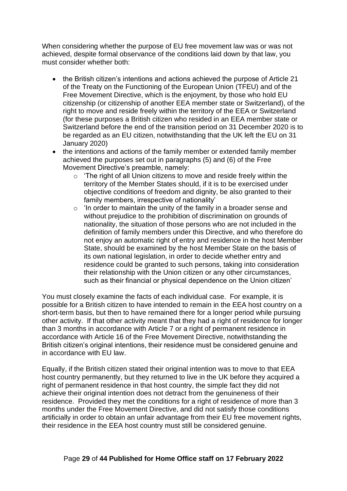When considering whether the purpose of EU free movement law was or was not achieved, despite formal observance of the conditions laid down by that law, you must consider whether both:

- the British citizen's intentions and actions achieved the purpose of Article 21 of the Treaty on the Functioning of the European Union (TFEU) and of the Free Movement Directive, which is the enjoyment, by those who hold EU citizenship (or citizenship of another EEA member state or Switzerland), of the right to move and reside freely within the territory of the EEA or Switzerland (for these purposes a British citizen who resided in an EEA member state or Switzerland before the end of the transition period on 31 December 2020 is to be regarded as an EU citizen, notwithstanding that the UK left the EU on 31 January 2020)
- the intentions and actions of the family member or extended family member achieved the purposes set out in paragraphs (5) and (6) of the Free Movement Directive's preamble, namely:
	- o 'The right of all Union citizens to move and reside freely within the territory of the Member States should, if it is to be exercised under objective conditions of freedom and dignity, be also granted to their family members, irrespective of nationality'
	- $\circ$  'In order to maintain the unity of the family in a broader sense and without prejudice to the prohibition of discrimination on grounds of nationality, the situation of those persons who are not included in the definition of family members under this Directive, and who therefore do not enjoy an automatic right of entry and residence in the host Member State, should be examined by the host Member State on the basis of its own national legislation, in order to decide whether entry and residence could be granted to such persons, taking into consideration their relationship with the Union citizen or any other circumstances, such as their financial or physical dependence on the Union citizen'

You must closely examine the facts of each individual case. For example, it is possible for a British citizen to have intended to remain in the EEA host country on a short-term basis, but then to have remained there for a longer period while pursuing other activity. If that other activity meant that they had a right of residence for longer than 3 months in accordance with Article 7 or a right of permanent residence in accordance with Article 16 of the Free Movement Directive, notwithstanding the British citizen's original intentions, their residence must be considered genuine and in accordance with EU law.

Equally, if the British citizen stated their original intention was to move to that EEA host country permanently, but they returned to live in the UK before they acquired a right of permanent residence in that host country, the simple fact they did not achieve their original intention does not detract from the genuineness of their residence. Provided they met the conditions for a right of residence of more than 3 months under the Free Movement Directive, and did not satisfy those conditions artificially in order to obtain an unfair advantage from their EU free movement rights, their residence in the EEA host country must still be considered genuine.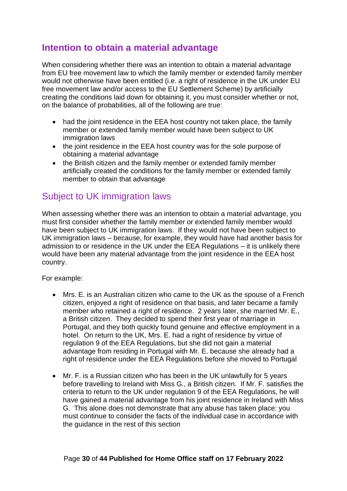## <span id="page-29-0"></span>**Intention to obtain a material advantage**

When considering whether there was an intention to obtain a material advantage from EU free movement law to which the family member or extended family member would not otherwise have been entitled (i.e. a right of residence in the UK under EU free movement law and/or access to the EU Settlement Scheme) by artificially creating the conditions laid down for obtaining it, you must consider whether or not, on the balance of probabilities, all of the following are true:

- had the joint residence in the EEA host country not taken place, the family member or extended family member would have been subject to UK immigration laws
- the joint residence in the EEA host country was for the sole purpose of obtaining a material advantage
- the British citizen and the family member or extended family member artificially created the conditions for the family member or extended family member to obtain that advantage

## <span id="page-29-1"></span>Subject to UK immigration laws

When assessing whether there was an intention to obtain a material advantage, you must first consider whether the family member or extended family member would have been subject to UK immigration laws. If they would not have been subject to UK immigration laws – because, for example, they would have had another basis for admission to or residence in the UK under the EEA Regulations – it is unlikely there would have been any material advantage from the joint residence in the EEA host country.

For example:

- Mrs. E. is an Australian citizen who came to the UK as the spouse of a French citizen, enjoyed a right of residence on that basis, and later became a family member who retained a right of residence. 2 years later, she married Mr. E., a British citizen. They decided to spend their first year of marriage in Portugal, and they both quickly found genuine and effective employment in a hotel. On return to the UK, Mrs. E, had a right of residence by virtue of regulation 9 of the EEA Regulations, but she did not gain a material advantage from residing in Portugal with Mr. E. because she already had a right of residence under the EEA Regulations before she moved to Portugal
- Mr. F. is a Russian citizen who has been in the UK unlawfully for 5 years before travelling to Ireland with Miss G., a British citizen. If Mr. F. satisfies the criteria to return to the UK under regulation 9 of the EEA Regulations, he will have gained a material advantage from his joint residence in Ireland with Miss G. This alone does not demonstrate that any abuse has taken place: you must continue to consider the facts of the individual case in accordance with the guidance in the rest of this section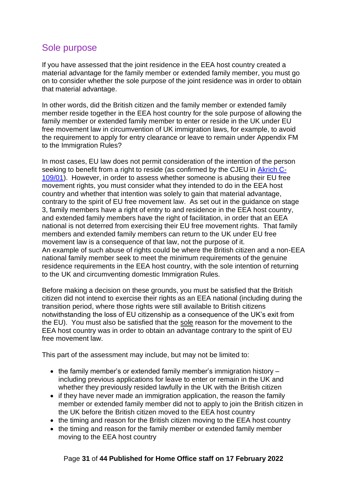## <span id="page-30-0"></span>Sole purpose

If you have assessed that the joint residence in the EEA host country created a material advantage for the family member or extended family member, you must go on to consider whether the sole purpose of the joint residence was in order to obtain that material advantage.

In other words, did the British citizen and the family member or extended family member reside together in the EEA host country for the sole purpose of allowing the family member or extended family member to enter or reside in the UK under EU free movement law in circumvention of UK immigration laws, for example, to avoid the requirement to apply for entry clearance or leave to remain under Appendix FM to the Immigration Rules?

In most cases, EU law does not permit consideration of the intention of the person seeking to benefit from a right to reside (as confirmed by the CJEU in [Akrich](https://curia.europa.eu/juris/liste.jsf?num=C-109/01) C-[109/01\)](https://curia.europa.eu/juris/liste.jsf?num=C-109/01). However, in order to assess whether someone is abusing their EU free movement rights, you must consider what they intended to do in the EEA host country and whether that intention was solely to gain that material advantage, contrary to the spirit of EU free movement law. As set out in the guidance on stage 3, family members have a right of entry to and residence in the EEA host country, and extended family members have the right of facilitation, in order that an EEA national is not deterred from exercising their EU free movement rights. That family members and extended family members can return to the UK under EU free movement law is a consequence of that law, not the purpose of it. An example of such abuse of rights could be where the British citizen and a non-EEA national family member seek to meet the minimum requirements of the genuine residence requirements in the EEA host country, with the sole intention of returning to the UK and circumventing domestic Immigration Rules.

Before making a decision on these grounds, you must be satisfied that the British citizen did not intend to exercise their rights as an EEA national (including during the transition period, where those rights were still available to British citizens notwithstanding the loss of EU citizenship as a consequence of the UK's exit from the EU). You must also be satisfied that the sole reason for the movement to the EEA host country was in order to obtain an advantage contrary to the spirit of EU free movement law.

This part of the assessment may include, but may not be limited to:

- the family member's or extended family member's immigration history including previous applications for leave to enter or remain in the UK and whether they previously resided lawfully in the UK with the British citizen
- if they have never made an immigration application, the reason the family member or extended family member did not to apply to join the British citizen in the UK before the British citizen moved to the EEA host country
- the timing and reason for the British citizen moving to the EEA host country
- the timing and reason for the family member or extended family member moving to the EEA host country

#### Page **31** of **44 Published for Home Office staff on 17 February 2022**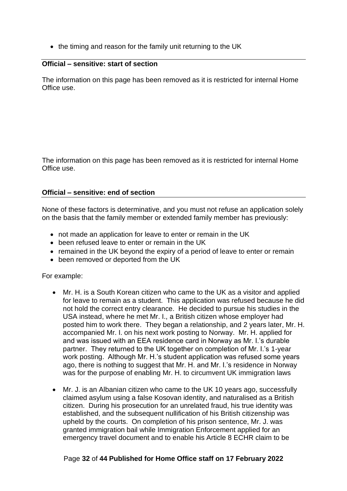• the timing and reason for the family unit returning to the UK

#### **Official – sensitive: start of section**

The information on this page has been removed as it is restricted for internal Home Office use.

The information on this page has been removed as it is restricted for internal Home Office use.

#### **Official – sensitive: end of section**

None of these factors is determinative, and you must not refuse an application solely on the basis that the family member or extended family member has previously:

- not made an application for leave to enter or remain in the UK
- been refused leave to enter or remain in the UK
- remained in the UK beyond the expiry of a period of leave to enter or remain
- been removed or deported from the UK

For example:

- Mr. H. is a South Korean citizen who came to the UK as a visitor and applied for leave to remain as a student. This application was refused because he did not hold the correct entry clearance. He decided to pursue his studies in the USA instead, where he met Mr. I., a British citizen whose employer had posted him to work there. They began a relationship, and 2 years later, Mr. H. accompanied Mr. I. on his next work posting to Norway. Mr. H. applied for and was issued with an EEA residence card in Norway as Mr. I.'s durable partner. They returned to the UK together on completion of Mr. I.'s 1-year work posting. Although Mr. H.'s student application was refused some years ago, there is nothing to suggest that Mr. H. and Mr. I.'s residence in Norway was for the purpose of enabling Mr. H. to circumvent UK immigration laws
- Mr. J. is an Albanian citizen who came to the UK 10 years ago, successfully claimed asylum using a false Kosovan identity, and naturalised as a British citizen. During his prosecution for an unrelated fraud, his true identity was established, and the subsequent nullification of his British citizenship was upheld by the courts. On completion of his prison sentence, Mr. J. was granted immigration bail while Immigration Enforcement applied for an emergency travel document and to enable his Article 8 ECHR claim to be

#### Page **32** of **44 Published for Home Office staff on 17 February 2022**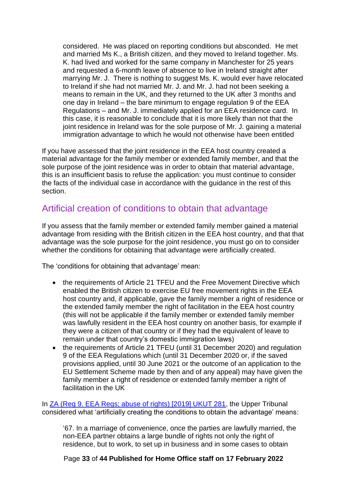considered. He was placed on reporting conditions but absconded. He met and married Ms K., a British citizen, and they moved to Ireland together. Ms. K. had lived and worked for the same company in Manchester for 25 years and requested a 6-month leave of absence to live in Ireland straight after marrying Mr. J. There is nothing to suggest Ms. K. would ever have relocated to Ireland if she had not married Mr. J. and Mr. J. had not been seeking a means to remain in the UK, and they returned to the UK after 3 months and one day in Ireland – the bare minimum to engage regulation 9 of the EEA Regulations – and Mr. J. immediately applied for an EEA residence card. In this case, it is reasonable to conclude that it is more likely than not that the joint residence in Ireland was for the sole purpose of Mr. J. gaining a material immigration advantage to which he would not otherwise have been entitled

If you have assessed that the joint residence in the EEA host country created a material advantage for the family member or extended family member, and that the sole purpose of the joint residence was in order to obtain that material advantage, this is an insufficient basis to refuse the application: you must continue to consider the facts of the individual case in accordance with the guidance in the rest of this section.

# <span id="page-32-0"></span>Artificial creation of conditions to obtain that advantage

If you assess that the family member or extended family member gained a material advantage from residing with the British citizen in the EEA host country, and that that advantage was the sole purpose for the joint residence, you must go on to consider whether the conditions for obtaining that advantage were artificially created.

The 'conditions for obtaining that advantage' mean:

- the requirements of Article 21 TFEU and the Free Movement Directive which enabled the British citizen to exercise EU free movement rights in the EEA host country and, if applicable, gave the family member a right of residence or the extended family member the right of facilitation in the EEA host country (this will not be applicable if the family member or extended family member was lawfully resident in the EEA host country on another basis, for example if they were a citizen of that country or if they had the equivalent of leave to remain under that country's domestic immigration laws)
- the requirements of Article 21 TFEU (until 31 December 2020) and regulation 9 of the EEA Regulations which (until 31 December 2020 or, if the saved provisions applied, until 30 June 2021 or the outcome of an application to the EU Settlement Scheme made by then and of any appeal) may have given the family member a right of residence or extended family member a right of facilitation in the UK

In [ZA \(Reg 9. EEA Regs; abuse of rights\) \[2019\] UKUT 281,](https://tribunalsdecisions.service.gov.uk/utiac/2019-ukut-281) the Upper Tribunal considered what 'artificially creating the conditions to obtain the advantage' means:

'67. In a marriage of convenience, once the parties are lawfully married, the non-EEA partner obtains a large bundle of rights not only the right of residence, but to work, to set up in business and in some cases to obtain

Page **33** of **44 Published for Home Office staff on 17 February 2022**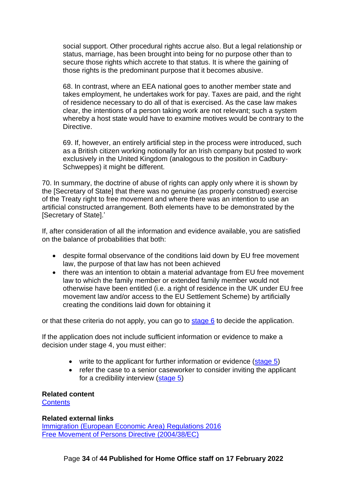social support. Other procedural rights accrue also. But a legal relationship or status, marriage, has been brought into being for no purpose other than to secure those rights which accrete to that status. It is where the gaining of those rights is the predominant purpose that it becomes abusive.

68. In contrast, where an EEA national goes to another member state and takes employment, he undertakes work for pay. Taxes are paid, and the right of residence necessary to do all of that is exercised. As the case law makes clear, the intentions of a person taking work are not relevant; such a system whereby a host state would have to examine motives would be contrary to the Directive.

69. If, however, an entirely artificial step in the process were introduced, such as a British citizen working notionally for an Irish company but posted to work exclusively in the United Kingdom (analogous to the position in Cadbury-Schweppes) it might be different.

70. In summary, the doctrine of abuse of rights can apply only where it is shown by the [Secretary of State] that there was no genuine (as properly construed) exercise of the Treaty right to free movement and where there was an intention to use an artificial constructed arrangement. Both elements have to be demonstrated by the [Secretary of State].'

If, after consideration of all the information and evidence available, you are satisfied on the balance of probabilities that both:

- despite formal observance of the conditions laid down by EU free movement law, the purpose of that law has not been achieved
- there was an intention to obtain a material advantage from EU free movement law to which the family member or extended family member would not otherwise have been entitled (i.e. a right of residence in the UK under EU free movement law and/or access to the EU Settlement Scheme) by artificially creating the conditions laid down for obtaining it

or that these criteria do not apply, you can go to [stage 6](#page-38-0) to decide the application.

If the application does not include sufficient information or evidence to make a decision under stage 4, you must either:

- write to the applicant for further information or evidence [\(stage 5\)](#page-33-0)
- refer the case to a senior caseworker to consider inviting the applicant for a credibility interview [\(stage 5\)](#page-33-0)

#### **Related content**

**[Contents](#page-1-0)** 

#### **Related external links**

<span id="page-33-0"></span>[Immigration \(European Economic Area\) Regulations 2016](http://www.legislation.gov.uk/uksi/2016/1052/contents/made) [Free Movement of Persons Directive \(2004/38/EC\)](http://eur-lex.europa.eu/LexUriServ/LexUriServ.do?uri=OJ:L:2004:158:0077:0123:EN:PDF)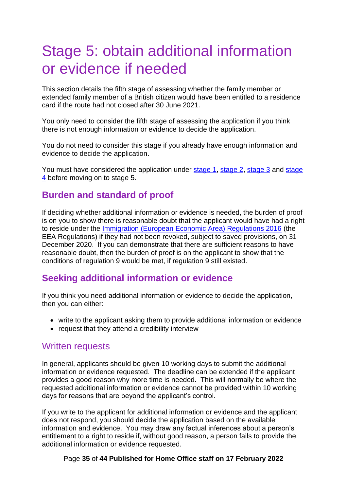# <span id="page-34-0"></span>Stage 5: obtain additional information or evidence if needed

This section details the fifth stage of assessing whether the family member or extended family member of a British citizen would have been entitled to a residence card if the route had not closed after 30 June 2021.

You only need to consider the fifth stage of assessing the application if you think there is not enough information or evidence to decide the application.

You do not need to consider this stage if you already have enough information and evidence to decide the application.

You must have considered the application under [stage 1,](#page-14-0) [stage 2,](#page-16-0) [stage 3](#page-19-0) and stage [4](#page-27-0) before moving on to stage 5.

## <span id="page-34-1"></span>**Burden and standard of proof**

If deciding whether additional information or evidence is needed, the burden of proof is on you to show there is reasonable doubt that the applicant would have had a right to reside under the [Immigration \(European Economic Area\) Regulations 2016](http://www.legislation.gov.uk/uksi/2016/1052/contents/made) (the EEA Regulations) if they had not been revoked, subject to saved provisions, on 31 December 2020. If you can demonstrate that there are sufficient reasons to have reasonable doubt, then the burden of proof is on the applicant to show that the conditions of regulation 9 would be met, if regulation 9 still existed.

## <span id="page-34-2"></span>**Seeking additional information or evidence**

If you think you need additional information or evidence to decide the application, then you can either:

- write to the applicant asking them to provide additional information or evidence
- request that they attend a credibility interview

### <span id="page-34-3"></span>Written requests

In general, applicants should be given 10 working days to submit the additional information or evidence requested. The deadline can be extended if the applicant provides a good reason why more time is needed. This will normally be where the requested additional information or evidence cannot be provided within 10 working days for reasons that are beyond the applicant's control.

If you write to the applicant for additional information or evidence and the applicant does not respond, you should decide the application based on the available information and evidence. You may draw any factual inferences about a person's entitlement to a right to reside if, without good reason, a person fails to provide the additional information or evidence requested.

### Page **35** of **44 Published for Home Office staff on 17 February 2022**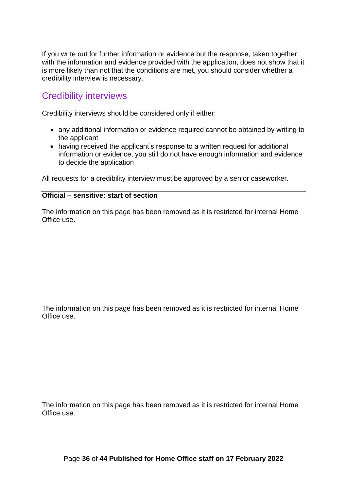If you write out for further information or evidence but the response, taken together with the information and evidence provided with the application, does not show that it is more likely than not that the conditions are met, you should consider whether a credibility interview is necessary.

## <span id="page-35-0"></span>Credibility interviews

Credibility interviews should be considered only if either:

- any additional information or evidence required cannot be obtained by writing to the applicant
- having received the applicant's response to a written request for additional information or evidence, you still do not have enough information and evidence to decide the application

All requests for a credibility interview must be approved by a senior caseworker.

#### **Official – sensitive: start of section**

The information on this page has been removed as it is restricted for internal Home Office use.

The information on this page has been removed as it is restricted for internal Home Office use.

The information on this page has been removed as it is restricted for internal Home Office use.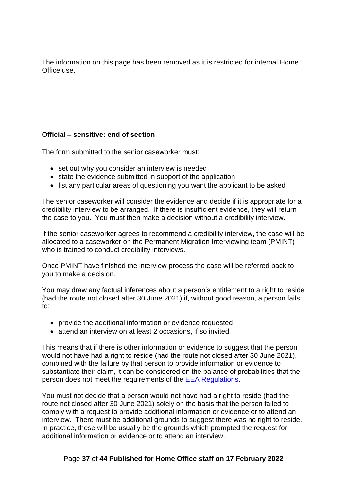The information on this page has been removed as it is restricted for internal Home Office use.

### **Official – sensitive: end of section**

The form submitted to the senior caseworker must:

- set out why you consider an interview is needed
- state the evidence submitted in support of the application
- list any particular areas of questioning you want the applicant to be asked

The senior caseworker will consider the evidence and decide if it is appropriate for a credibility interview to be arranged. If there is insufficient evidence, they will return the case to you. You must then make a decision without a credibility interview.

If the senior caseworker agrees to recommend a credibility interview, the case will be allocated to a caseworker on the Permanent Migration Interviewing team (PMINT) who is trained to conduct credibility interviews.

Once PMINT have finished the interview process the case will be referred back to you to make a decision.

You may draw any factual inferences about a person's entitlement to a right to reside (had the route not closed after 30 June 2021) if, without good reason, a person fails to:

- provide the additional information or evidence requested
- attend an interview on at least 2 occasions, if so invited

This means that if there is other information or evidence to suggest that the person would not have had a right to reside (had the route not closed after 30 June 2021). combined with the failure by that person to provide information or evidence to substantiate their claim, it can be considered on the balance of probabilities that the person does not meet the requirements of the [EEA Regulations.](http://www.legislation.gov.uk/uksi/2016/1052/contents/made)

You must not decide that a person would not have had a right to reside (had the route not closed after 30 June 2021) solely on the basis that the person failed to comply with a request to provide additional information or evidence or to attend an interview. There must be additional grounds to suggest there was no right to reside. In practice, these will be usually be the grounds which prompted the request for additional information or evidence or to attend an interview.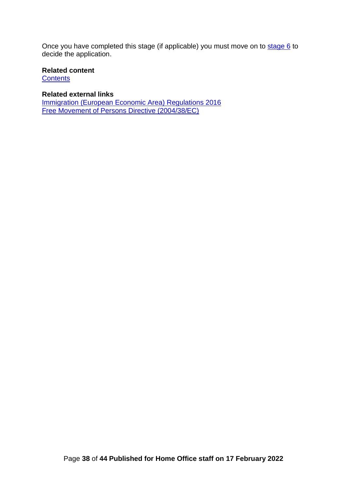Once you have completed this stage (if applicable) you must move on to [stage 6](#page-38-0) to decide the application.

#### **Related content**

**[Contents](#page-1-0)** 

#### **Related external links**

<span id="page-37-0"></span>[Immigration \(European Economic Area\) Regulations 2016](http://www.legislation.gov.uk/uksi/2016/1052/contents/made) [Free Movement of Persons Directive \(2004/38/EC\)](http://eur-lex.europa.eu/LexUriServ/LexUriServ.do?uri=OJ:L:2004:158:0077:0123:EN:PDF)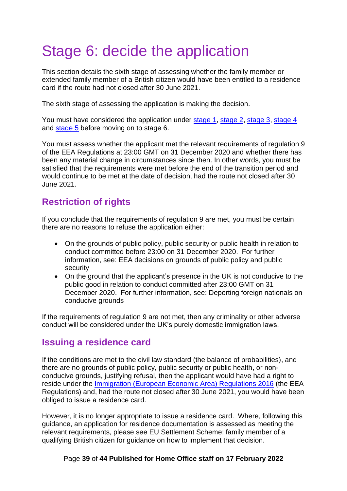# <span id="page-38-0"></span>Stage 6: decide the application

This section details the sixth stage of assessing whether the family member or extended family member of a British citizen would have been entitled to a residence card if the route had not closed after 30 June 2021.

The sixth stage of assessing the application is making the decision.

You must have considered the application under [stage 1,](#page-14-0) [stage 2,](#page-16-0) [stage 3,](#page-19-0) [stage 4](#page-27-0) and [stage 5](#page-33-0) before moving on to stage 6.

You must assess whether the applicant met the relevant requirements of regulation 9 of the EEA Regulations at 23:00 GMT on 31 December 2020 and whether there has been any material change in circumstances since then. In other words, you must be satisfied that the requirements were met before the end of the transition period and would continue to be met at the date of decision, had the route not closed after 30 June 2021.

# <span id="page-38-1"></span>**Restriction of rights**

If you conclude that the requirements of regulation 9 are met, you must be certain there are no reasons to refuse the application either:

- On the grounds of public policy, public security or public health in relation to conduct committed before 23:00 on 31 December 2020. For further information, see: EEA decisions on grounds of public policy and public security
- On the ground that the applicant's presence in the UK is not conducive to the public good in relation to conduct committed after 23:00 GMT on 31 December 2020. For further information, see: Deporting foreign nationals on conducive grounds

If the requirements of regulation 9 are not met, then any criminality or other adverse conduct will be considered under the UK's purely domestic immigration laws.

## <span id="page-38-2"></span>**Issuing a residence card**

If the conditions are met to the civil law standard (the balance of probabilities), and there are no grounds of public policy, public security or public health, or nonconducive grounds, justifying refusal, then the applicant would have had a right to reside under the [Immigration \(European Economic Area\) Regulations 2016](http://www.legislation.gov.uk/uksi/2016/1052/contents/made) (the EEA Regulations) and, had the route not closed after 30 June 2021, you would have been obliged to issue a residence card.

However, it is no longer appropriate to issue a residence card. Where, following this guidance, an application for residence documentation is assessed as meeting the relevant requirements, please see EU Settlement Scheme: family member of a qualifying British citizen for guidance on how to implement that decision.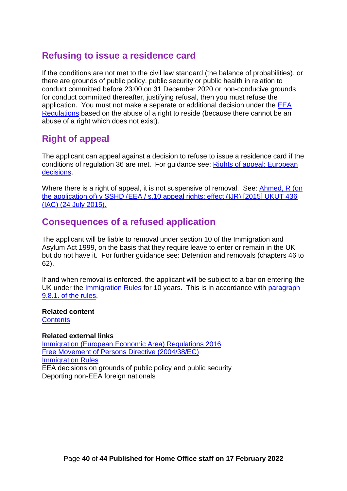## <span id="page-39-0"></span>**Refusing to issue a residence card**

If the conditions are not met to the civil law standard (the balance of probabilities), or there are grounds of public policy, public security or public health in relation to conduct committed before 23:00 on 31 December 2020 or non-conducive grounds for conduct committed thereafter, justifying refusal, then you must refuse the application. You must not make a separate or additional decision under the [EEA](http://www.legislation.gov.uk/uksi/2016/1052/contents/made)  [Regulations](http://www.legislation.gov.uk/uksi/2016/1052/contents/made) based on the abuse of a right to reside (because there cannot be an abuse of a right which does not exist).

# <span id="page-39-1"></span>**Right of appeal**

The applicant can appeal against a decision to refuse to issue a residence card if the conditions of regulation 36 are met. For guidance see: [Rights of appeal: European](https://assets.publishing.service.gov.uk/government/uploads/system/uploads/attachment_data/file/1041393/rights-of-appeal.pdf)  [decisions.](https://assets.publishing.service.gov.uk/government/uploads/system/uploads/attachment_data/file/1041393/rights-of-appeal.pdf)

Where there is a right of appeal, it is not suspensive of removal. See: Ahmed, R (on [the application of\) v SSHD \(EEA / s.10 appeal rights: effect \(IJR\) \[2015\] UKUT 436](https://tribunalsdecisions.service.gov.uk/utiac/2015-ukut-436)  [\(IAC\) \(24 July 2015\).](https://tribunalsdecisions.service.gov.uk/utiac/2015-ukut-436)

## <span id="page-39-2"></span>**Consequences of a refused application**

The applicant will be liable to removal under section 10 of the Immigration and Asylum Act 1999, on the basis that they require leave to enter or remain in the UK but do not have it. For further guidance see: Detention and removals (chapters 46 to 62).

If and when removal is enforced, the applicant will be subject to a bar on entering the UK under the [Immigration Rules](https://www.gov.uk/guidance/immigration-rules) for 10 years. This is in accordance with [paragraph](https://www.gov.uk/guidance/immigration-rules/immigration-rules-part-9-grounds-for-refusal)  9.8.1. of [the rules.](https://www.gov.uk/guidance/immigration-rules/immigration-rules-part-9-grounds-for-refusal)

### **Related content**

**[Contents](#page-1-0)** 

#### **Related external links**

[Immigration \(European Economic Area\) Regulations 2016](http://www.legislation.gov.uk/uksi/2016/1052/contents/made) [Free Movement of Persons Directive \(2004/38/EC\)](http://eur-lex.europa.eu/LexUriServ/LexUriServ.do?uri=OJ:L:2004:158:0077:0123:EN:PDF) [Immigration Rules](https://www.gov.uk/guidance/immigration-rules) EEA decisions on grounds of public policy and public security Deporting non-EEA foreign nationals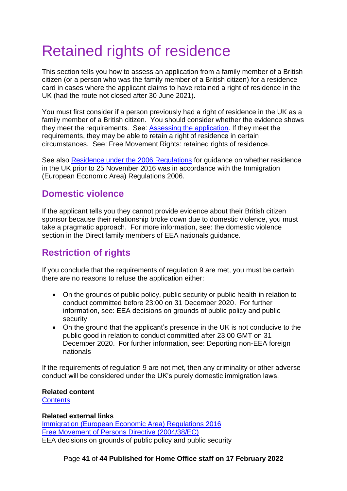# <span id="page-40-0"></span>Retained rights of residence

This section tells you how to assess an application from a family member of a British citizen (or a person who was the family member of a British citizen) for a residence card in cases where the applicant claims to have retained a right of residence in the UK (had the route not closed after 30 June 2021).

You must first consider if a person previously had a right of residence in the UK as a family member of a British citizen. You should consider whether the evidence shows they meet the requirements. See: [Assessing the application.](#page-12-1) If they meet the requirements, they may be able to retain a right of residence in certain circumstances. See: Free Movement Rights: retained rights of residence.

See also [Residence under the 2006 Regulations](#page-43-0) for guidance on whether residence in the UK prior to 25 November 2016 was in accordance with the Immigration (European Economic Area) Regulations 2006.

## <span id="page-40-1"></span>**Domestic violence**

If the applicant tells you they cannot provide evidence about their British citizen sponsor because their relationship broke down due to domestic violence, you must take a pragmatic approach. For more information, see: the domestic violence section in the Direct family members of EEA nationals guidance.

## <span id="page-40-2"></span>**Restriction of rights**

If you conclude that the requirements of regulation 9 are met, you must be certain there are no reasons to refuse the application either:

- On the grounds of public policy, public security or public health in relation to conduct committed before 23:00 on 31 December 2020. For further information, see: EEA decisions on grounds of public policy and public security
- On the ground that the applicant's presence in the UK is not conducive to the public good in relation to conduct committed after 23:00 GMT on 31 December 2020. For further information, see: Deporting non-EEA foreign nationals

If the requirements of regulation 9 are not met, then any criminality or other adverse conduct will be considered under the UK's purely domestic immigration laws.

### **Related content**

**[Contents](#page-1-0)** 

### **Related external links**

[Immigration \(European Economic Area\) Regulations 2016](http://www.legislation.gov.uk/uksi/2016/1052/contents/made) [Free Movement of Persons Directive \(2004/38/EC\)](http://eur-lex.europa.eu/LexUriServ/LexUriServ.do?uri=OJ:L:2004:158:0077:0123:EN:PDF) EEA decisions on grounds of public policy and public security

Page **41** of **44 Published for Home Office staff on 17 February 2022**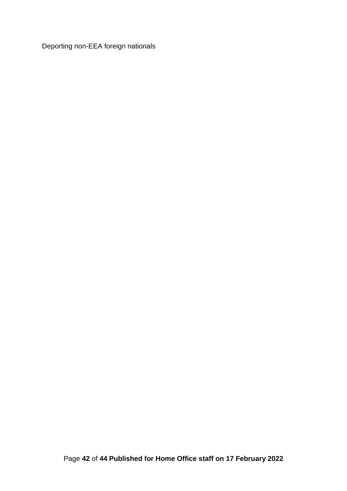Deporting non-EEA foreign nationals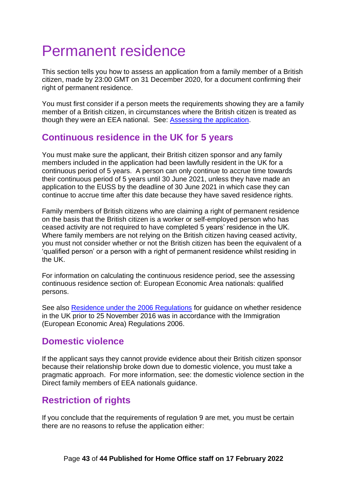# <span id="page-42-0"></span>Permanent residence

This section tells you how to assess an application from a family member of a British citizen, made by 23:00 GMT on 31 December 2020, for a document confirming their right of permanent residence.

You must first consider if a person meets the requirements showing they are a family member of a British citizen, in circumstances where the British citizen is treated as though they were an EEA national. See: [Assessing the application.](#page-12-1)

## <span id="page-42-1"></span>**Continuous residence in the UK for 5 years**

You must make sure the applicant, their British citizen sponsor and any family members included in the application had been lawfully resident in the UK for a continuous period of 5 years. A person can only continue to accrue time towards their continuous period of 5 years until 30 June 2021, unless they have made an application to the EUSS by the deadline of 30 June 2021 in which case they can continue to accrue time after this date because they have saved residence rights.

Family members of British citizens who are claiming a right of permanent residence on the basis that the British citizen is a worker or self-employed person who has ceased activity are not required to have completed 5 years' residence in the UK. Where family members are not relying on the British citizen having ceased activity, you must not consider whether or not the British citizen has been the equivalent of a 'qualified person' or a person with a right of permanent residence whilst residing in the UK.

For information on calculating the continuous residence period, see the assessing continuous residence section of: European Economic Area nationals: qualified persons.

See also [Residence under the 2006 Regulations](#page-43-0) for guidance on whether residence in the UK prior to 25 November 2016 was in accordance with the Immigration (European Economic Area) Regulations 2006.

### <span id="page-42-2"></span>**Domestic violence**

If the applicant says they cannot provide evidence about their British citizen sponsor because their relationship broke down due to domestic violence, you must take a pragmatic approach. For more information, see: the domestic violence section in the Direct family members of EEA nationals guidance.

## <span id="page-42-3"></span>**Restriction of rights**

If you conclude that the requirements of regulation 9 are met, you must be certain there are no reasons to refuse the application either: